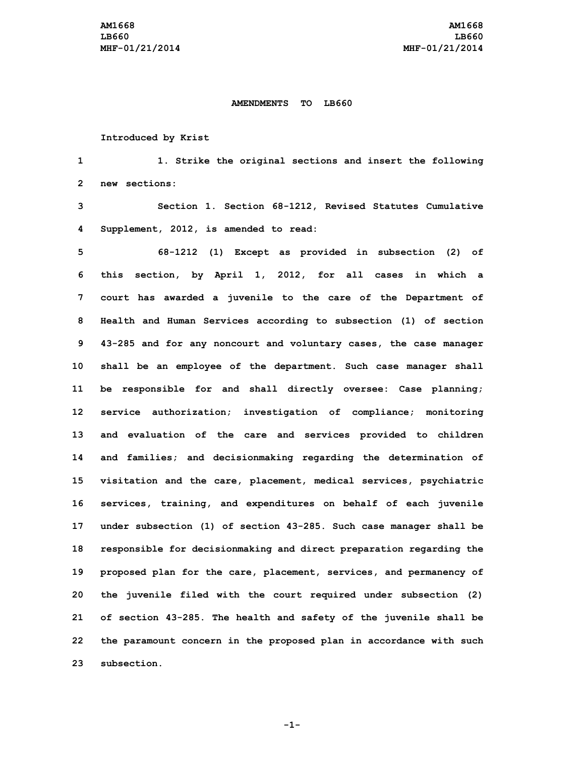## **AMENDMENTS TO LB660**

## **Introduced by Krist**

**1 1. Strike the original sections and insert the following 2 new sections:**

**3 Section 1. Section 68-1212, Revised Statutes Cumulative 4 Supplement, 2012, is amended to read:**

 **68-1212 (1) Except as provided in subsection (2) of this section, by April 1, 2012, for all cases in which <sup>a</sup> court has awarded <sup>a</sup> juvenile to the care of the Department of Health and Human Services according to subsection (1) of section 43-285 and for any noncourt and voluntary cases, the case manager shall be an employee of the department. Such case manager shall be responsible for and shall directly oversee: Case planning; service authorization; investigation of compliance; monitoring and evaluation of the care and services provided to children and families; and decisionmaking regarding the determination of visitation and the care, placement, medical services, psychiatric services, training, and expenditures on behalf of each juvenile under subsection (1) of section 43-285. Such case manager shall be responsible for decisionmaking and direct preparation regarding the proposed plan for the care, placement, services, and permanency of the juvenile filed with the court required under subsection (2) of section 43-285. The health and safety of the juvenile shall be the paramount concern in the proposed plan in accordance with such subsection.**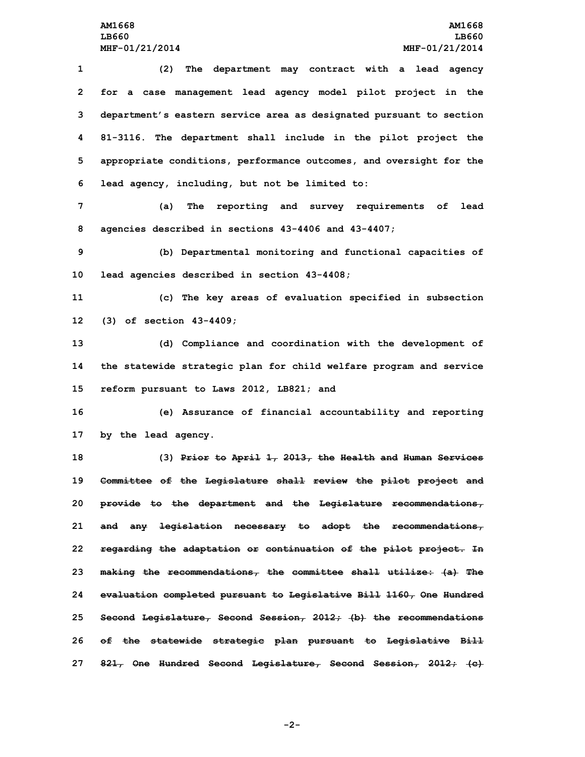**(2) The department may contract with <sup>a</sup> lead agency for <sup>a</sup> case management lead agency model pilot project in the department's eastern service area as designated pursuant to section 81-3116. The department shall include in the pilot project the appropriate conditions, performance outcomes, and oversight for the lead agency, including, but not be limited to:**

**7 (a) The reporting and survey requirements of lead 8 agencies described in sections 43-4406 and 43-4407;**

**9 (b) Departmental monitoring and functional capacities of 10 lead agencies described in section 43-4408;**

**11 (c) The key areas of evaluation specified in subsection 12 (3) of section 43-4409;**

**13 (d) Compliance and coordination with the development of 14 the statewide strategic plan for child welfare program and service 15 reform pursuant to Laws 2012, LB821; and**

**16 (e) Assurance of financial accountability and reporting 17 by the lead agency.**

 **(3) Prior to April 1, 2013, the Health and Human Services Committee of the Legislature shall review the pilot project and provide to the department and the Legislature recommendations, and any legislation necessary to adopt the recommendations, regarding the adaptation or continuation of the pilot project. In making the recommendations, the committee shall utilize: (a) The evaluation completed pursuant to Legislative Bill 1160, One Hundred Second Legislature, Second Session, 2012; (b) the recommendations of the statewide strategic plan pursuant to Legislative Bill 821, One Hundred Second Legislature, Second Session, 2012; (c)**

**-2-**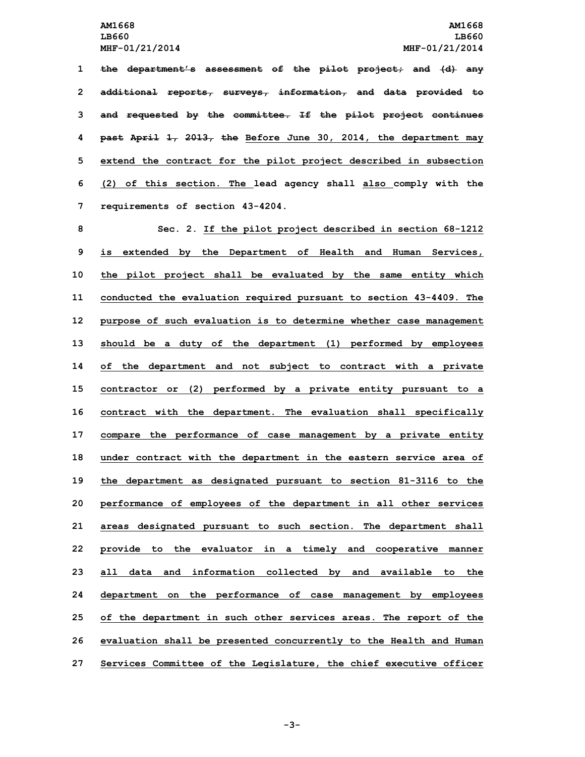**the department's assessment of the pilot project; and (d) any additional reports, surveys, information, and data provided to and requested by the committee. If the pilot project continues past April 1, 2013, the Before June 30, 2014, the department may extend the contract for the pilot project described in subsection (2) of this section. The lead agency shall also comply with the requirements of section 43-4204.**

 **Sec. 2. If the pilot project described in section 68-1212 is extended by the Department of Health and Human Services, the pilot project shall be evaluated by the same entity which conducted the evaluation required pursuant to section 43-4409. The purpose of such evaluation is to determine whether case management should be <sup>a</sup> duty of the department (1) performed by employees of the department and not subject to contract with <sup>a</sup> private contractor or (2) performed by <sup>a</sup> private entity pursuant to <sup>a</sup> contract with the department. The evaluation shall specifically compare the performance of case management by <sup>a</sup> private entity under contract with the department in the eastern service area of the department as designated pursuant to section 81-3116 to the performance of employees of the department in all other services areas designated pursuant to such section. The department shall provide to the evaluator in <sup>a</sup> timely and cooperative manner all data and information collected by and available to the department on the performance of case management by employees of the department in such other services areas. The report of the evaluation shall be presented concurrently to the Health and Human Services Committee of the Legislature, the chief executive officer**

**-3-**